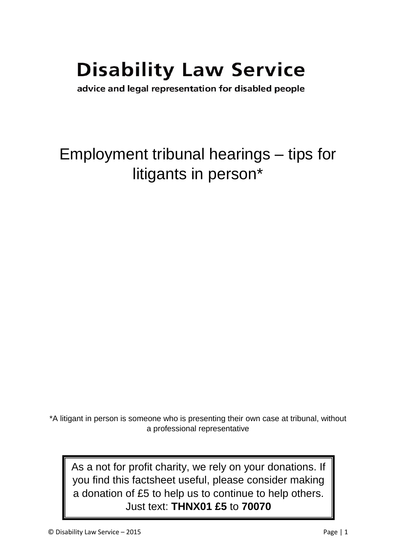# **Disability Law Service**

advice and legal representation for disabled people

## Employment tribunal hearings – tips for litigants in person\*

\*A litigant in person is someone who is presenting their own case at tribunal, without a professional representative

As a not for profit charity, we rely on your donations. If you find this factsheet useful, please consider making a donation of £5 to help us to continue to help others. Just text: **THNX01 £5** to **70070**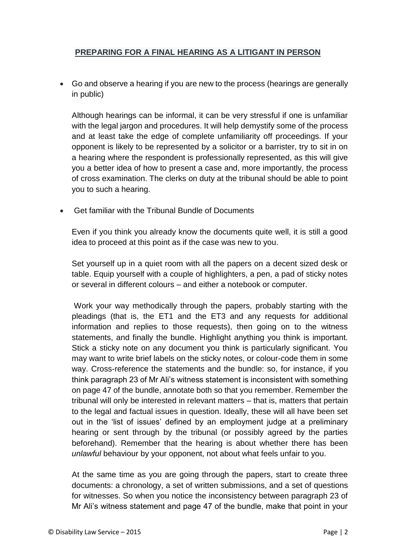### **PREPARING FOR A FINAL HEARING AS A LITIGANT IN PERSON**

 Go and observe a hearing if you are new to the process (hearings are generally in public)

Although hearings can be informal, it can be very stressful if one is unfamiliar with the legal jargon and procedures. It will help demystify some of the process and at least take the edge of complete unfamiliarity off proceedings. If your opponent is likely to be represented by a solicitor or a barrister, try to sit in on a hearing where the respondent is professionally represented, as this will give you a better idea of how to present a case and, more importantly, the process of cross examination. The clerks on duty at the tribunal should be able to point you to such a hearing.

Get familiar with the Tribunal Bundle of Documents

Even if you think you already know the documents quite well, it is still a good idea to proceed at this point as if the case was new to you.

Set yourself up in a quiet room with all the papers on a decent sized desk or table. Equip yourself with a couple of highlighters, a pen, a pad of sticky notes or several in different colours – and either a notebook or computer.

Work your way methodically through the papers, probably starting with the pleadings (that is, the ET1 and the ET3 and any requests for additional information and replies to those requests), then going on to the witness statements, and finally the bundle. Highlight anything you think is important. Stick a sticky note on any document you think is particularly significant. You may want to write brief labels on the sticky notes, or colour-code them in some way. Cross-reference the statements and the bundle: so, for instance, if you think paragraph 23 of Mr Ali's witness statement is inconsistent with something on page 47 of the bundle, annotate both so that you remember. Remember the tribunal will only be interested in relevant matters – that is, matters that pertain to the legal and factual issues in question. Ideally, these will all have been set out in the 'list of issues' defined by an employment judge at a preliminary hearing or sent through by the tribunal (or possibly agreed by the parties beforehand). Remember that the hearing is about whether there has been *unlawful* behaviour by your opponent, not about what feels unfair to you.

At the same time as you are going through the papers, start to create three documents: a chronology, a set of written submissions, and a set of questions for witnesses. So when you notice the inconsistency between paragraph 23 of Mr Ali's witness statement and page 47 of the bundle, make that point in your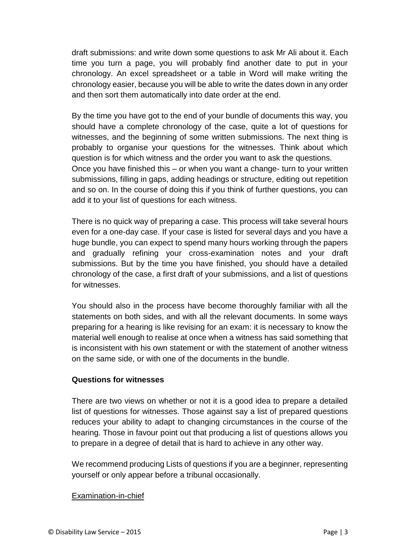draft submissions: and write down some questions to ask Mr Ali about it. Each time you turn a page, you will probably find another date to put in your chronology. An excel spreadsheet or a table in Word will make writing the chronology easier, because you will be able to write the dates down in any order and then sort them automatically into date order at the end.

By the time you have got to the end of your bundle of documents this way, you should have a complete chronology of the case, quite a lot of questions for witnesses, and the beginning of some written submissions. The next thing is probably to organise your questions for the witnesses. Think about which question is for which witness and the order you want to ask the questions. Once you have finished this – or when you want a change- turn to your written submissions, filling in gaps, adding headings or structure, editing out repetition and so on. In the course of doing this if you think of further questions, you can add it to your list of questions for each witness.

There is no quick way of preparing a case. This process will take several hours even for a one-day case. If your case is listed for several days and you have a huge bundle, you can expect to spend many hours working through the papers and gradually refining your cross-examination notes and your draft submissions. But by the time you have finished, you should have a detailed chronology of the case, a first draft of your submissions, and a list of questions for witnesses.

You should also in the process have become thoroughly familiar with all the statements on both sides, and with all the relevant documents. In some ways preparing for a hearing is like revising for an exam: it is necessary to know the material well enough to realise at once when a witness has said something that is inconsistent with his own statement or with the statement of another witness on the same side, or with one of the documents in the bundle.

#### **Questions for witnesses**

There are two views on whether or not it is a good idea to prepare a detailed list of questions for witnesses. Those against say a list of prepared questions reduces your ability to adapt to changing circumstances in the course of the hearing. Those in favour point out that producing a list of questions allows you to prepare in a degree of detail that is hard to achieve in any other way.

We recommend producing Lists of questions if you are a beginner, representing yourself or only appear before a tribunal occasionally.

#### Examination-in-chief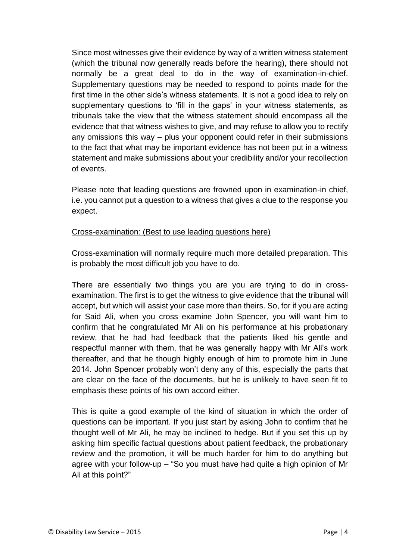Since most witnesses give their evidence by way of a written witness statement (which the tribunal now generally reads before the hearing), there should not normally be a great deal to do in the way of examination-in-chief. Supplementary questions may be needed to respond to points made for the first time in the other side's witness statements. It is not a good idea to rely on supplementary questions to 'fill in the gaps' in your witness statements, as tribunals take the view that the witness statement should encompass all the evidence that that witness wishes to give, and may refuse to allow you to rectify any omissions this way – plus your opponent could refer in their submissions to the fact that what may be important evidence has not been put in a witness statement and make submissions about your credibility and/or your recollection of events.

Please note that leading questions are frowned upon in examination-in chief, i.e. you cannot put a question to a witness that gives a clue to the response you expect.

#### Cross-examination: (Best to use leading questions here)

Cross-examination will normally require much more detailed preparation. This is probably the most difficult job you have to do.

There are essentially two things you are you are trying to do in crossexamination. The first is to get the witness to give evidence that the tribunal will accept, but which will assist your case more than theirs. So, for if you are acting for Said Ali, when you cross examine John Spencer, you will want him to confirm that he congratulated Mr Ali on his performance at his probationary review, that he had had feedback that the patients liked his gentle and respectful manner with them, that he was generally happy with Mr Ali's work thereafter, and that he though highly enough of him to promote him in June 2014. John Spencer probably won't deny any of this, especially the parts that are clear on the face of the documents, but he is unlikely to have seen fit to emphasis these points of his own accord either.

This is quite a good example of the kind of situation in which the order of questions can be important. If you just start by asking John to confirm that he thought well of Mr Ali, he may be inclined to hedge. But if you set this up by asking him specific factual questions about patient feedback, the probationary review and the promotion, it will be much harder for him to do anything but agree with your follow-up – "So you must have had quite a high opinion of Mr Ali at this point?"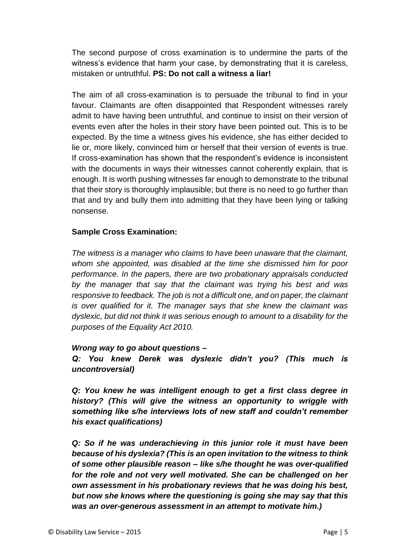The second purpose of cross examination is to undermine the parts of the witness's evidence that harm your case, by demonstrating that it is careless, mistaken or untruthful. **PS: Do not call a witness a liar!**

The aim of all cross-examination is to persuade the tribunal to find in your favour. Claimants are often disappointed that Respondent witnesses rarely admit to have having been untruthful, and continue to insist on their version of events even after the holes in their story have been pointed out. This is to be expected. By the time a witness gives his evidence, she has either decided to lie or, more likely, convinced him or herself that their version of events is true. If cross-examination has shown that the respondent's evidence is inconsistent with the documents in ways their witnesses cannot coherently explain, that is enough. It is worth pushing witnesses far enough to demonstrate to the tribunal that their story is thoroughly implausible; but there is no need to go further than that and try and bully them into admitting that they have been lying or talking nonsense.

#### **Sample Cross Examination:**

*The witness is a manager who claims to have been unaware that the claimant, whom she appointed, was disabled at the time she dismissed him for poor performance. In the papers, there are two probationary appraisals conducted by the manager that say that the claimant was trying his best and was responsive to feedback. The job is not a difficult one, and on paper, the claimant is over qualified for it. The manager says that she knew the claimant was dyslexic, but did not think it was serious enough to amount to a disability for the purposes of the Equality Act 2010.*

#### *Wrong way to go about questions –*

*Q: You knew Derek was dyslexic didn't you? (This much is uncontroversial)*

*Q: You knew he was intelligent enough to get a first class degree in history? (This will give the witness an opportunity to wriggle with something like s/he interviews lots of new staff and couldn't remember his exact qualifications)*

*Q: So if he was underachieving in this junior role it must have been because of his dyslexia? (This is an open invitation to the witness to think of some other plausible reason – like s/he thought he was over-qualified for the role and not very well motivated. She can be challenged on her own assessment in his probationary reviews that he was doing his best, but now she knows where the questioning is going she may say that this was an over-generous assessment in an attempt to motivate him.)*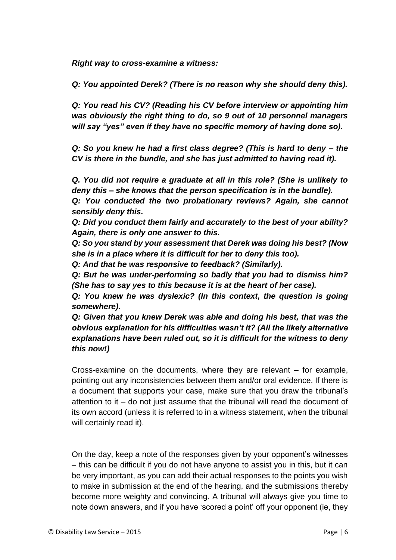*Right way to cross-examine a witness:*

*Q: You appointed Derek? (There is no reason why she should deny this).*

*Q: You read his CV? (Reading his CV before interview or appointing him was obviously the right thing to do, so 9 out of 10 personnel managers will say "yes" even if they have no specific memory of having done so).*

*Q: So you knew he had a first class degree? (This is hard to deny – the CV is there in the bundle, and she has just admitted to having read it).*

*Q. You did not require a graduate at all in this role? (She is unlikely to deny this – she knows that the person specification is in the bundle).*

*Q: You conducted the two probationary reviews? Again, she cannot sensibly deny this.*

*Q: Did you conduct them fairly and accurately to the best of your ability? Again, there is only one answer to this.*

*Q: So you stand by your assessment that Derek was doing his best? (Now she is in a place where it is difficult for her to deny this too).*

*Q: And that he was responsive to feedback? (Similarly).*

*Q: But he was under-performing so badly that you had to dismiss him? (She has to say yes to this because it is at the heart of her case).*

*Q: You knew he was dyslexic? (In this context, the question is going somewhere).*

*Q: Given that you knew Derek was able and doing his best, that was the obvious explanation for his difficulties wasn't it? (All the likely alternative explanations have been ruled out, so it is difficult for the witness to deny this now!)*

Cross-examine on the documents, where they are relevant – for example, pointing out any inconsistencies between them and/or oral evidence. If there is a document that supports your case, make sure that you draw the tribunal's attention to it – do not just assume that the tribunal will read the document of its own accord (unless it is referred to in a witness statement, when the tribunal will certainly read it).

On the day, keep a note of the responses given by your opponent's witnesses – this can be difficult if you do not have anyone to assist you in this, but it can be very important, as you can add their actual responses to the points you wish to make in submission at the end of the hearing, and the submissions thereby become more weighty and convincing. A tribunal will always give you time to note down answers, and if you have 'scored a point' off your opponent (ie, they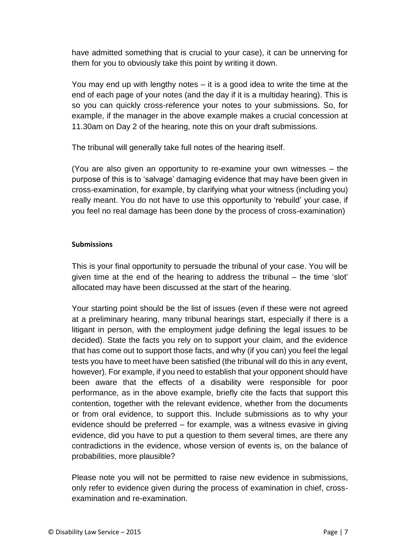have admitted something that is crucial to your case), it can be unnerving for them for you to obviously take this point by writing it down.

You may end up with lengthy notes – it is a good idea to write the time at the end of each page of your notes (and the day if it is a multiday hearing). This is so you can quickly cross-reference your notes to your submissions. So, for example, if the manager in the above example makes a crucial concession at 11.30am on Day 2 of the hearing, note this on your draft submissions.

The tribunal will generally take full notes of the hearing itself.

(You are also given an opportunity to re-examine your own witnesses – the purpose of this is to 'salvage' damaging evidence that may have been given in cross-examination, for example, by clarifying what your witness (including you) really meant. You do not have to use this opportunity to 'rebuild' your case, if you feel no real damage has been done by the process of cross-examination)

#### **Submissions**

This is your final opportunity to persuade the tribunal of your case. You will be given time at the end of the hearing to address the tribunal – the time 'slot' allocated may have been discussed at the start of the hearing.

Your starting point should be the list of issues (even if these were not agreed at a preliminary hearing, many tribunal hearings start, especially if there is a litigant in person, with the employment judge defining the legal issues to be decided). State the facts you rely on to support your claim, and the evidence that has come out to support those facts, and why (if you can) you feel the legal tests you have to meet have been satisfied (the tribunal will do this in any event, however). For example, if you need to establish that your opponent should have been aware that the effects of a disability were responsible for poor performance, as in the above example, briefly cite the facts that support this contention, together with the relevant evidence, whether from the documents or from oral evidence, to support this. Include submissions as to why your evidence should be preferred – for example, was a witness evasive in giving evidence, did you have to put a question to them several times, are there any contradictions in the evidence, whose version of events is, on the balance of probabilities, more plausible?

Please note you will not be permitted to raise new evidence in submissions, only refer to evidence given during the process of examination in chief, crossexamination and re-examination.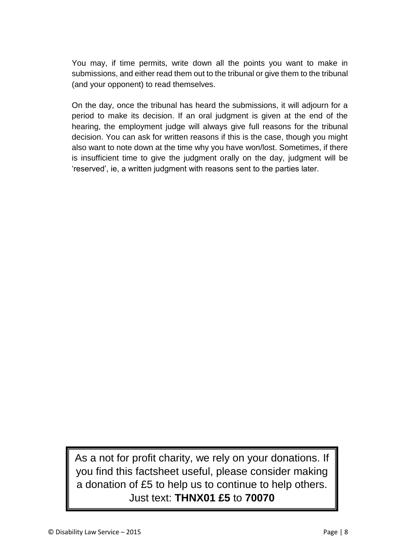You may, if time permits, write down all the points you want to make in submissions, and either read them out to the tribunal or give them to the tribunal (and your opponent) to read themselves.

On the day, once the tribunal has heard the submissions, it will adjourn for a period to make its decision. If an oral judgment is given at the end of the hearing, the employment judge will always give full reasons for the tribunal decision. You can ask for written reasons if this is the case, though you might also want to note down at the time why you have won/lost. Sometimes, if there is insufficient time to give the judgment orally on the day, judgment will be 'reserved', ie, a written judgment with reasons sent to the parties later.

As a not for profit charity, we rely on your donations. If you find this factsheet useful, please consider making a donation of £5 to help us to continue to help others. Just text: **THNX01 £5** to **70070**